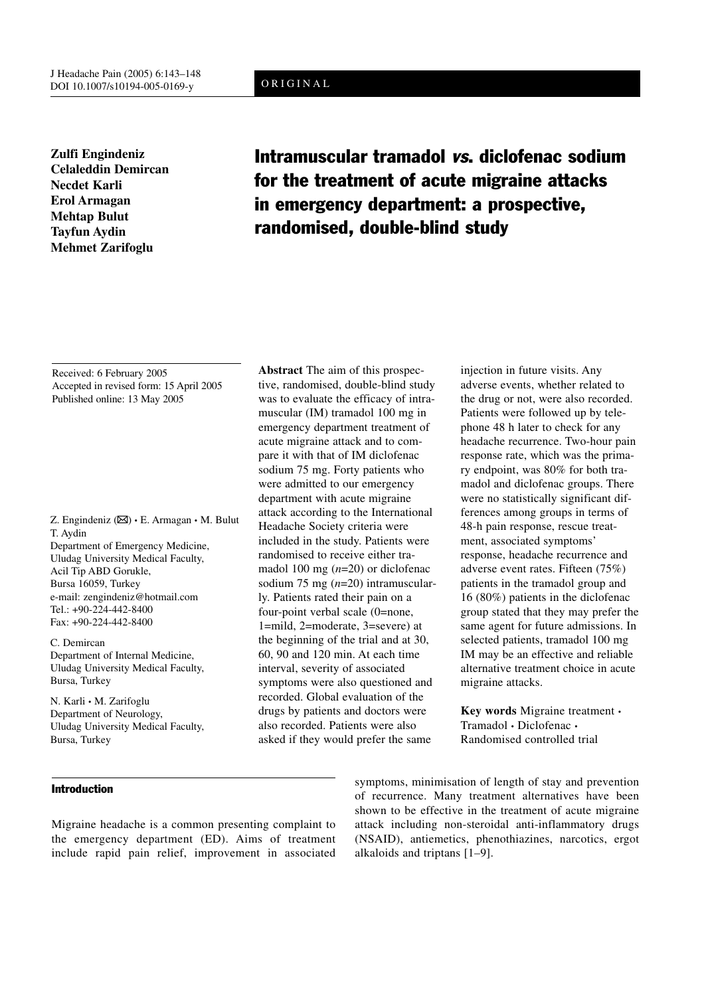# ORIGINAL

**Zulfi Engindeniz Celaleddin Demircan Necdet Karli Erol Armagan Mehtap Bulut Tayfun Aydin Mehmet Zarifoglu**

# Intramuscular tramadol vs. diclofenac sodium for the treatment of acute migraine attacks in emergency department: a prospective, randomised, double-blind study

Received: 6 February 2005 Accepted in revised form: 15 April 2005 Published online: 13 May 2005

Z. Engindeniz ( $\boxtimes$ ) • E. Armagan • M. Bulut T. Aydin Department of Emergency Medicine, Uludag University Medical Faculty, Acil Tip ABD Gorukle, Bursa 16059, Turkey e-mail: zengindeniz@hotmail.com Tel.: +90-224-442-8400 Fax: +90-224-442-8400

C. Demircan Department of Internal Medicine, Uludag University Medical Faculty, Bursa, Turkey

N. Karli • M. Zarifoglu Department of Neurology, Uludag University Medical Faculty, Bursa, Turkey

# Introduction

**Abstract** The aim of this prospective, randomised, double-blind study was to evaluate the efficacy of intramuscular (IM) tramadol 100 mg in emergency department treatment of acute migraine attack and to compare it with that of IM diclofenac sodium 75 mg. Forty patients who were admitted to our emergency department with acute migraine attack according to the International Headache Society criteria were included in the study. Patients were randomised to receive either tramadol 100 mg (*n*=20) or diclofenac sodium 75 mg (*n*=20) intramuscularly. Patients rated their pain on a four-point verbal scale (0=none, 1=mild, 2=moderate, 3=severe) at the beginning of the trial and at 30, 60, 90 and 120 min. At each time interval, severity of associated symptoms were also questioned and recorded. Global evaluation of the drugs by patients and doctors were also recorded. Patients were also asked if they would prefer the same

injection in future visits. Any adverse events, whether related to the drug or not, were also recorded. Patients were followed up by telephone 48 h later to check for any headache recurrence. Two-hour pain response rate, which was the primary endpoint, was 80% for both tramadol and diclofenac groups. There were no statistically significant differences among groups in terms of 48-h pain response, rescue treatment, associated symptoms' response, headache recurrence and adverse event rates. Fifteen (75%) patients in the tramadol group and 16 (80%) patients in the diclofenac group stated that they may prefer the same agent for future admissions. In selected patients, tramadol 100 mg IM may be an effective and reliable alternative treatment choice in acute migraine attacks.

**Key words** Migraine treatment • Tramadol • Diclofenac • Randomised controlled trial

Migraine headache is a common presenting complaint to the emergency department (ED). Aims of treatment include rapid pain relief, improvement in associated symptoms, minimisation of length of stay and prevention of recurrence. Many treatment alternatives have been shown to be effective in the treatment of acute migraine attack including non-steroidal anti-inflammatory drugs (NSAID), antiemetics, phenothiazines, narcotics, ergot alkaloids and triptans [1–9].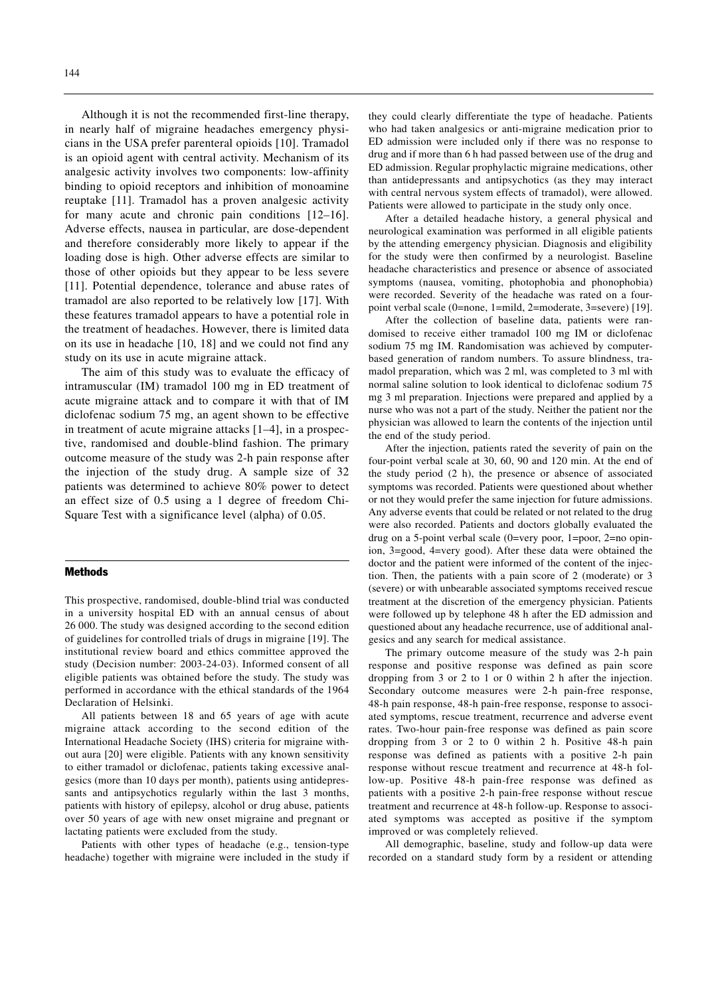144

Although it is not the recommended first-line therapy, in nearly half of migraine headaches emergency physicians in the USA prefer parenteral opioids [10]. Tramadol is an opioid agent with central activity. Mechanism of its analgesic activity involves two components: low-affinity binding to opioid receptors and inhibition of monoamine reuptake [11]. Tramadol has a proven analgesic activity for many acute and chronic pain conditions [12–16]. Adverse effects, nausea in particular, are dose-dependent and therefore considerably more likely to appear if the loading dose is high. Other adverse effects are similar to those of other opioids but they appear to be less severe [11]. Potential dependence, tolerance and abuse rates of tramadol are also reported to be relatively low [17]. With these features tramadol appears to have a potential role in the treatment of headaches. However, there is limited data on its use in headache [10, 18] and we could not find any study on its use in acute migraine attack.

The aim of this study was to evaluate the efficacy of intramuscular (IM) tramadol 100 mg in ED treatment of acute migraine attack and to compare it with that of IM diclofenac sodium 75 mg, an agent shown to be effective in treatment of acute migraine attacks [1–4], in a prospective, randomised and double-blind fashion. The primary outcome measure of the study was 2-h pain response after the injection of the study drug. A sample size of 32 patients was determined to achieve 80% power to detect an effect size of 0.5 using a 1 degree of freedom Chi-Square Test with a significance level (alpha) of 0.05.

#### Methods

This prospective, randomised, double-blind trial was conducted in a university hospital ED with an annual census of about 26 000. The study was designed according to the second edition of guidelines for controlled trials of drugs in migraine [19]. The institutional review board and ethics committee approved the study (Decision number: 2003-24-03). Informed consent of all eligible patients was obtained before the study. The study was performed in accordance with the ethical standards of the 1964 Declaration of Helsinki.

All patients between 18 and 65 years of age with acute migraine attack according to the second edition of the International Headache Society (IHS) criteria for migraine without aura [20] were eligible. Patients with any known sensitivity to either tramadol or diclofenac, patients taking excessive analgesics (more than 10 days per month), patients using antidepressants and antipsychotics regularly within the last 3 months, patients with history of epilepsy, alcohol or drug abuse, patients over 50 years of age with new onset migraine and pregnant or lactating patients were excluded from the study.

Patients with other types of headache (e.g., tension-type headache) together with migraine were included in the study if they could clearly differentiate the type of headache. Patients who had taken analgesics or anti-migraine medication prior to ED admission were included only if there was no response to drug and if more than 6 h had passed between use of the drug and ED admission. Regular prophylactic migraine medications, other than antidepressants and antipsychotics (as they may interact with central nervous system effects of tramadol), were allowed. Patients were allowed to participate in the study only once.

After a detailed headache history, a general physical and neurological examination was performed in all eligible patients by the attending emergency physician. Diagnosis and eligibility for the study were then confirmed by a neurologist. Baseline headache characteristics and presence or absence of associated symptoms (nausea, vomiting, photophobia and phonophobia) were recorded. Severity of the headache was rated on a fourpoint verbal scale (0=none, 1=mild, 2=moderate, 3=severe) [19].

After the collection of baseline data, patients were randomised to receive either tramadol 100 mg IM or diclofenac sodium 75 mg IM. Randomisation was achieved by computerbased generation of random numbers. To assure blindness, tramadol preparation, which was 2 ml, was completed to 3 ml with normal saline solution to look identical to diclofenac sodium 75 mg 3 ml preparation. Injections were prepared and applied by a nurse who was not a part of the study. Neither the patient nor the physician was allowed to learn the contents of the injection until the end of the study period.

After the injection, patients rated the severity of pain on the four-point verbal scale at 30, 60, 90 and 120 min. At the end of the study period (2 h), the presence or absence of associated symptoms was recorded. Patients were questioned about whether or not they would prefer the same injection for future admissions. Any adverse events that could be related or not related to the drug were also recorded. Patients and doctors globally evaluated the drug on a 5-point verbal scale (0=very poor, 1=poor, 2=no opinion, 3=good, 4=very good). After these data were obtained the doctor and the patient were informed of the content of the injection. Then, the patients with a pain score of 2 (moderate) or 3 (severe) or with unbearable associated symptoms received rescue treatment at the discretion of the emergency physician. Patients were followed up by telephone 48 h after the ED admission and questioned about any headache recurrence, use of additional analgesics and any search for medical assistance.

The primary outcome measure of the study was 2-h pain response and positive response was defined as pain score dropping from 3 or 2 to 1 or 0 within 2 h after the injection. Secondary outcome measures were 2-h pain-free response, 48-h pain response, 48-h pain-free response, response to associated symptoms, rescue treatment, recurrence and adverse event rates. Two-hour pain-free response was defined as pain score dropping from 3 or 2 to 0 within 2 h. Positive 48-h pain response was defined as patients with a positive 2-h pain response without rescue treatment and recurrence at 48-h follow-up. Positive 48-h pain-free response was defined as patients with a positive 2-h pain-free response without rescue treatment and recurrence at 48-h follow-up. Response to associated symptoms was accepted as positive if the symptom improved or was completely relieved.

All demographic, baseline, study and follow-up data were recorded on a standard study form by a resident or attending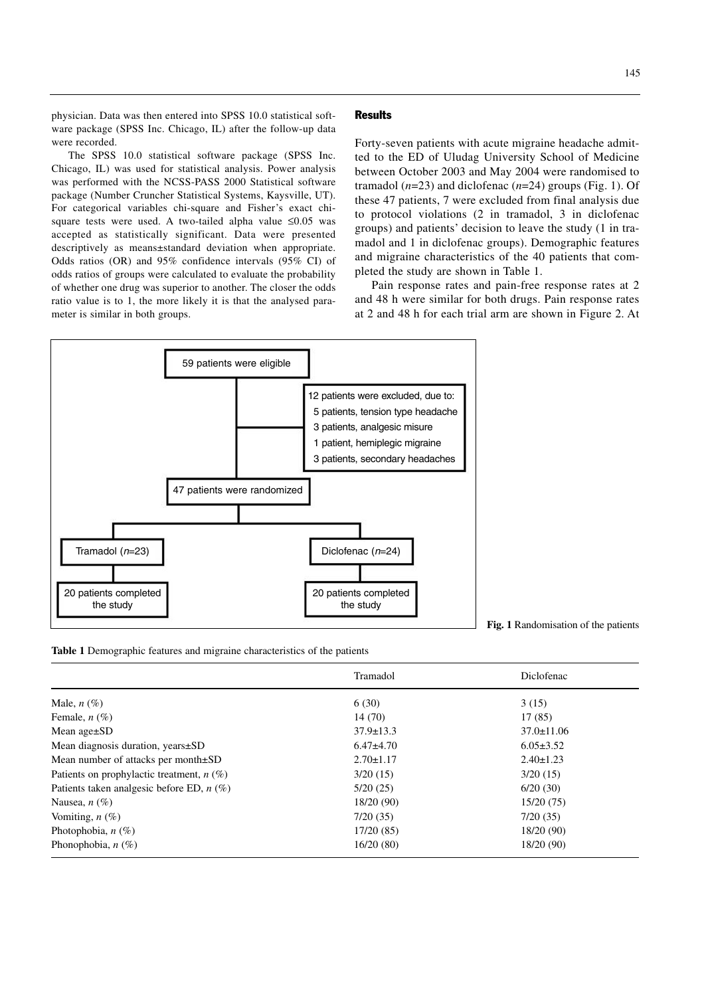physician. Data was then entered into SPSS 10.0 statistical software package (SPSS Inc. Chicago, IL) after the follow-up data were recorded.

The SPSS 10.0 statistical software package (SPSS Inc. Chicago, IL) was used for statistical analysis. Power analysis was performed with the NCSS-PASS 2000 Statistical software package (Number Cruncher Statistical Systems, Kaysville, UT). For categorical variables chi-square and Fisher's exact chisquare tests were used. A two-tailed alpha value ≤0.05 was accepted as statistically significant. Data were presented descriptively as means±standard deviation when appropriate. Odds ratios (OR) and 95% confidence intervals (95% CI) of odds ratios of groups were calculated to evaluate the probability of whether one drug was superior to another. The closer the odds ratio value is to 1, the more likely it is that the analysed parameter is similar in both groups.

# **Results**

Forty-seven patients with acute migraine headache admitted to the ED of Uludag University School of Medicine between October 2003 and May 2004 were randomised to tramadol (*n*=23) and diclofenac (*n*=24) groups (Fig. 1). Of these 47 patients, 7 were excluded from final analysis due to protocol violations (2 in tramadol, 3 in diclofenac groups) and patients' decision to leave the study (1 in tramadol and 1 in diclofenac groups). Demographic features and migraine characteristics of the 40 patients that completed the study are shown in Table 1.

Pain response rates and pain-free response rates at 2 and 48 h were similar for both drugs. Pain response rates at 2 and 48 h for each trial arm are shown in Figure 2. At



**Fig. 1** Randomisation of the patients

**Table 1** Demographic features and migraine characteristics of the patients

|                                             | Tramadol        | Diclofenac       |
|---------------------------------------------|-----------------|------------------|
| Male, $n(\%)$                               | 6(30)           | 3(15)            |
| Female, $n$ $(\%)$                          | 14 (70)         | 17(85)           |
| Mean $age \pm SD$                           | $37.9 \pm 13.3$ | $37.0 \pm 11.06$ |
| Mean diagnosis duration, years±SD           | $6.47\pm4.70$   | $6.05 \pm 3.52$  |
| Mean number of attacks per month $\pm SD$   | $2.70 \pm 1.17$ | $2.40 \pm 1.23$  |
| Patients on prophylactic treatment, $n$ (%) | 3/20(15)        | 3/20(15)         |
| Patients taken analgesic before ED, $n$ (%) | 5/20(25)        | 6/20(30)         |
| Nausea, $n$ (%)                             | 18/20(90)       | 15/20(75)        |
| Vomiting, $n$ (%)                           | 7/20(35)        | 7/20(35)         |
| Photophobia, $n(\%)$                        | 17/20(85)       | 18/20(90)        |
| Phonophobia, $n(\%)$                        | 16/20(80)       | 18/20 (90)       |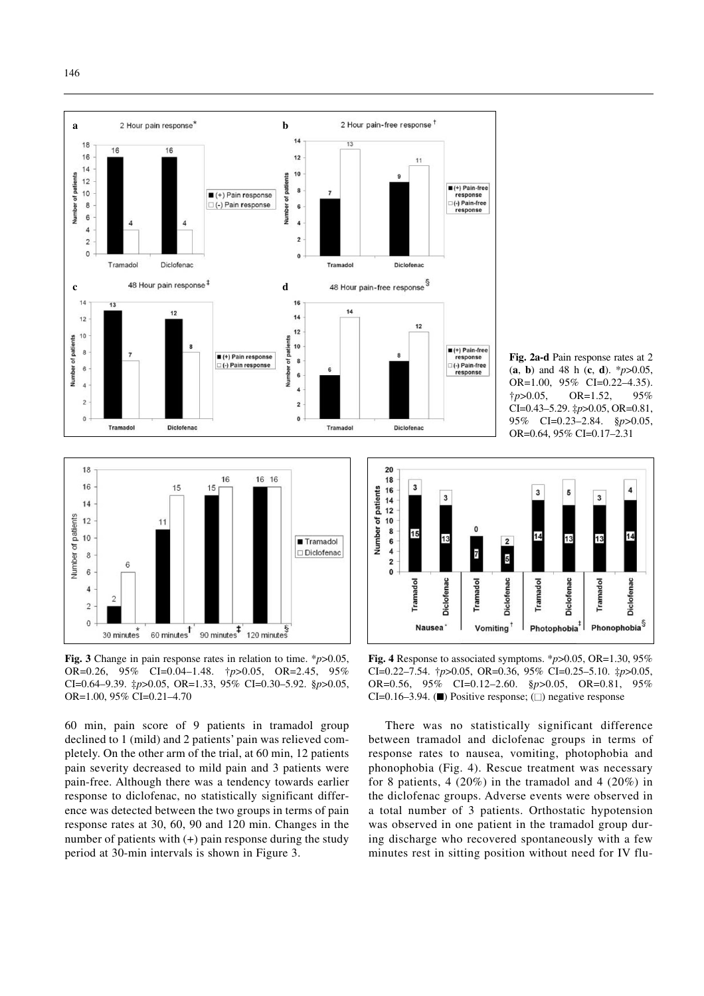





**Fig. 3** Change in pain response rates in relation to time. \**p*>0.05, OR=0.26, 95% CI=0.04–1.48. †*p*>0.05, OR=2.45, 95% CI=0.64–9.39. ‡*p*>0.05, OR=1.33, 95% CI=0.30–5.92. §*p*>0.05, OR=1.00, 95% CI=0.21–4.70

60 min, pain score of 9 patients in tramadol group declined to 1 (mild) and 2 patients' pain was relieved completely. On the other arm of the trial, at 60 min, 12 patients pain severity decreased to mild pain and 3 patients were pain-free. Although there was a tendency towards earlier response to diclofenac, no statistically significant difference was detected between the two groups in terms of pain response rates at 30, 60, 90 and 120 min. Changes in the number of patients with (+) pain response during the study period at 30-min intervals is shown in Figure 3.



**Fig. 4** Response to associated symptoms. \**p*>0.05, OR=1.30, 95% CI=0.22–7.54. †*p*>0.05, OR=0.36, 95% CI=0.25–5.10. ‡*p*>0.05, OR=0.56, 95% CI=0.12–2.60. §*p*>0.05, OR=0.81, 95% CI=0.16–3.94. ( $\blacksquare$ ) Positive response; ( $\square$ ) negative response

There was no statistically significant difference between tramadol and diclofenac groups in terms of response rates to nausea, vomiting, photophobia and phonophobia (Fig. 4). Rescue treatment was necessary for 8 patients,  $4(20\%)$  in the tramadol and  $4(20\%)$  in the diclofenac groups. Adverse events were observed in a total number of 3 patients. Orthostatic hypotension was observed in one patient in the tramadol group during discharge who recovered spontaneously with a few minutes rest in sitting position without need for IV flu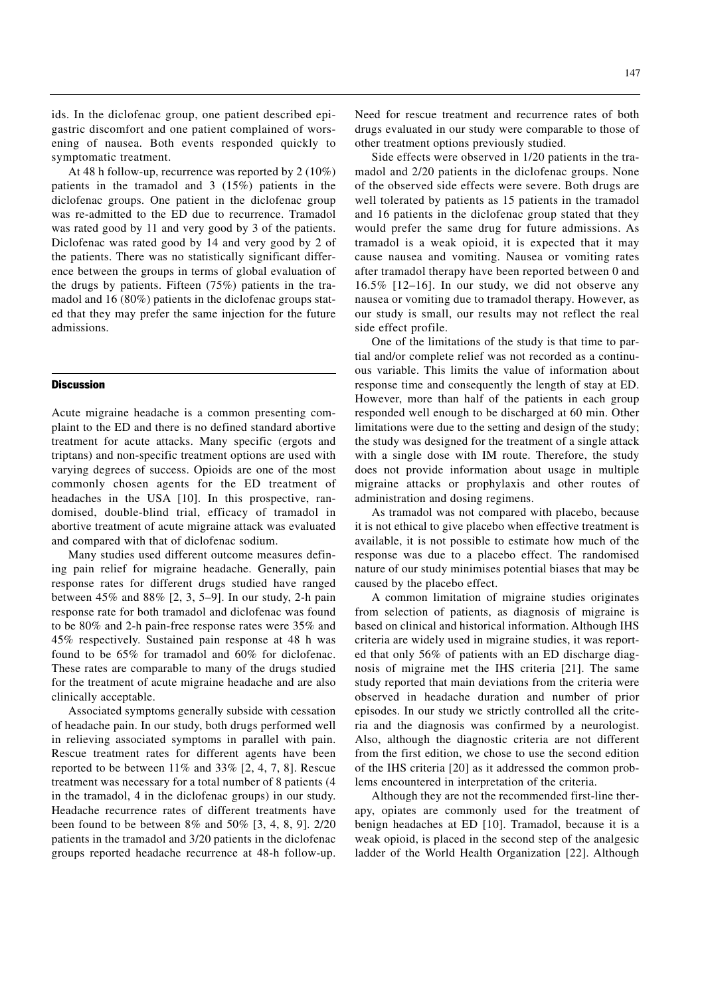ids. In the diclofenac group, one patient described epigastric discomfort and one patient complained of worsening of nausea. Both events responded quickly to symptomatic treatment.

At 48 h follow-up, recurrence was reported by 2 (10%) patients in the tramadol and 3 (15%) patients in the diclofenac groups. One patient in the diclofenac group was re-admitted to the ED due to recurrence. Tramadol was rated good by 11 and very good by 3 of the patients. Diclofenac was rated good by 14 and very good by 2 of the patients. There was no statistically significant difference between the groups in terms of global evaluation of the drugs by patients. Fifteen (75%) patients in the tramadol and 16 (80%) patients in the diclofenac groups stated that they may prefer the same injection for the future admissions.

#### **Discussion**

Acute migraine headache is a common presenting complaint to the ED and there is no defined standard abortive treatment for acute attacks. Many specific (ergots and triptans) and non-specific treatment options are used with varying degrees of success. Opioids are one of the most commonly chosen agents for the ED treatment of headaches in the USA [10]. In this prospective, randomised, double-blind trial, efficacy of tramadol in abortive treatment of acute migraine attack was evaluated and compared with that of diclofenac sodium.

Many studies used different outcome measures defining pain relief for migraine headache. Generally, pain response rates for different drugs studied have ranged between 45% and 88% [2, 3, 5–9]. In our study, 2-h pain response rate for both tramadol and diclofenac was found to be 80% and 2-h pain-free response rates were 35% and 45% respectively. Sustained pain response at 48 h was found to be 65% for tramadol and 60% for diclofenac. These rates are comparable to many of the drugs studied for the treatment of acute migraine headache and are also clinically acceptable.

Associated symptoms generally subside with cessation of headache pain. In our study, both drugs performed well in relieving associated symptoms in parallel with pain. Rescue treatment rates for different agents have been reported to be between 11% and 33% [2, 4, 7, 8]. Rescue treatment was necessary for a total number of 8 patients (4 in the tramadol, 4 in the diclofenac groups) in our study. Headache recurrence rates of different treatments have been found to be between 8% and 50% [3, 4, 8, 9]. 2/20 patients in the tramadol and 3/20 patients in the diclofenac groups reported headache recurrence at 48-h follow-up.

Need for rescue treatment and recurrence rates of both drugs evaluated in our study were comparable to those of other treatment options previously studied.

Side effects were observed in 1/20 patients in the tramadol and 2/20 patients in the diclofenac groups. None of the observed side effects were severe. Both drugs are well tolerated by patients as 15 patients in the tramadol and 16 patients in the diclofenac group stated that they would prefer the same drug for future admissions. As tramadol is a weak opioid, it is expected that it may cause nausea and vomiting. Nausea or vomiting rates after tramadol therapy have been reported between 0 and 16.5% [12–16]. In our study, we did not observe any nausea or vomiting due to tramadol therapy. However, as our study is small, our results may not reflect the real side effect profile.

One of the limitations of the study is that time to partial and/or complete relief was not recorded as a continuous variable. This limits the value of information about response time and consequently the length of stay at ED. However, more than half of the patients in each group responded well enough to be discharged at 60 min. Other limitations were due to the setting and design of the study; the study was designed for the treatment of a single attack with a single dose with IM route. Therefore, the study does not provide information about usage in multiple migraine attacks or prophylaxis and other routes of administration and dosing regimens.

As tramadol was not compared with placebo, because it is not ethical to give placebo when effective treatment is available, it is not possible to estimate how much of the response was due to a placebo effect. The randomised nature of our study minimises potential biases that may be caused by the placebo effect.

A common limitation of migraine studies originates from selection of patients, as diagnosis of migraine is based on clinical and historical information. Although IHS criteria are widely used in migraine studies, it was reported that only 56% of patients with an ED discharge diagnosis of migraine met the IHS criteria [21]. The same study reported that main deviations from the criteria were observed in headache duration and number of prior episodes. In our study we strictly controlled all the criteria and the diagnosis was confirmed by a neurologist. Also, although the diagnostic criteria are not different from the first edition, we chose to use the second edition of the IHS criteria [20] as it addressed the common problems encountered in interpretation of the criteria.

Although they are not the recommended first-line therapy, opiates are commonly used for the treatment of benign headaches at ED [10]. Tramadol, because it is a weak opioid, is placed in the second step of the analgesic ladder of the World Health Organization [22]. Although